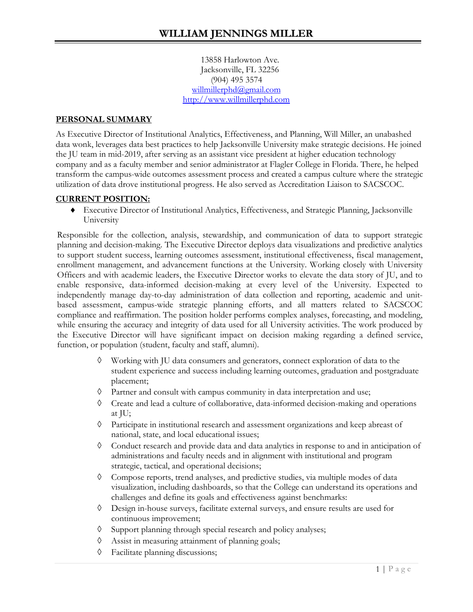13858 Harlowton Ave. Jacksonville, FL 32256 (904) 495 3574 [willmillerphd@gmail.com](mailto:willmillerphd@gmail.com) [http://www.willmillerphd.com](http://www.willmillerphd.com/)

#### **PERSONAL SUMMARY**

As Executive Director of Institutional Analytics, Effectiveness, and Planning, Will Miller, an unabashed data wonk, leverages data best practices to help Jacksonville University make strategic decisions. He joined the JU team in mid-2019, after serving as an assistant vice president at higher education technology company and as a faculty member and senior administrator at Flagler College in Florida. There, he helped transform the campus-wide outcomes assessment process and created a campus culture where the strategic utilization of data drove institutional progress. He also served as Accreditation Liaison to SACSCOC.

#### **CURRENT POSITION:**

♦ Executive Director of Institutional Analytics, Effectiveness, and Strategic Planning, Jacksonville University

Responsible for the collection, analysis, stewardship, and communication of data to support strategic planning and decision-making. The Executive Director deploys data visualizations and predictive analytics to support student success, learning outcomes assessment, institutional effectiveness, fiscal management, enrollment management, and advancement functions at the University. Working closely with University Officers and with academic leaders, the Executive Director works to elevate the data story of JU, and to enable responsive, data-informed decision-making at every level of the University. Expected to independently manage day-to-day administration of data collection and reporting, academic and unitbased assessment, campus-wide strategic planning efforts, and all matters related to SACSCOC compliance and reaffirmation. The position holder performs complex analyses, forecasting, and modeling, while ensuring the accuracy and integrity of data used for all University activities. The work produced by the Executive Director will have significant impact on decision making regarding a defined service, function, or population (student, faculty and staff, alumni).

- ◊ Working with JU data consumers and generators, connect exploration of data to the student experience and success including learning outcomes, graduation and postgraduate placement;
- ◊ Partner and consult with campus community in data interpretation and use;
- ◊ Create and lead a culture of collaborative, data-informed decision-making and operations at JU;
- ◊ Participate in institutional research and assessment organizations and keep abreast of national, state, and local educational issues;
- ◊ Conduct research and provide data and data analytics in response to and in anticipation of administrations and faculty needs and in alignment with institutional and program strategic, tactical, and operational decisions;
- ◊ Compose reports, trend analyses, and predictive studies, via multiple modes of data visualization, including dashboards, so that the College can understand its operations and challenges and define its goals and effectiveness against benchmarks:
- ◊ Design in-house surveys, facilitate external surveys, and ensure results are used for continuous improvement;
- ◊ Support planning through special research and policy analyses;
- ◊ Assist in measuring attainment of planning goals;
- ◊ Facilitate planning discussions;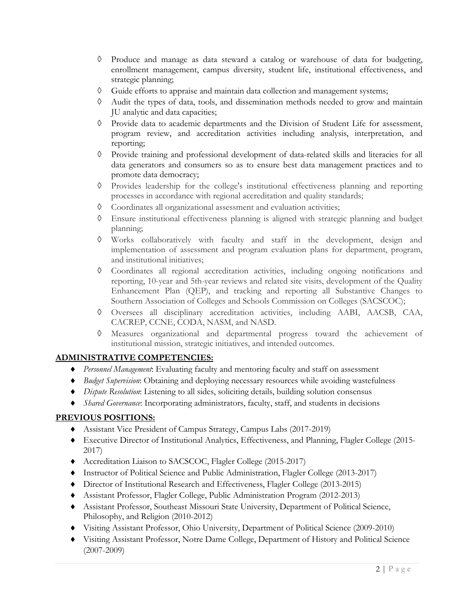- ◊ Produce and manage as data steward a catalog or warehouse of data for budgeting, enrollment management, campus diversity, student life, institutional effectiveness, and strategic planning;
- ◊ Guide efforts to appraise and maintain data collection and management systems;
- ◊ Audit the types of data, tools, and dissemination methods needed to grow and maintain JU analytic and data capacities;
- ◊ Provide data to academic departments and the Division of Student Life for assessment, program review, and accreditation activities including analysis, interpretation, and reporting;
- ◊ Provide training and professional development of data-related skills and literacies for all data generators and consumers so as to ensure best data management practices and to promote data democracy;
- ◊ Provides leadership for the college's institutional effectiveness planning and reporting processes in accordance with regional accreditation and quality standards;
- ◊ Coordinates all organizational assessment and evaluation activities;
- ◊ Ensure institutional effectiveness planning is aligned with strategic planning and budget planning;
- ◊ Works collaboratively with faculty and staff in the development, design and implementation of assessment and program evaluation plans for department, program, and institutional initiatives;
- ◊ Coordinates all regional accreditation activities, including ongoing notifications and reporting, 10-year and 5th-year reviews and related site visits, development of the Quality Enhancement Plan (QEP), and tracking and reporting all Substantive Changes to Southern Association of Colleges and Schools Commission on Colleges (SACSCOC);
- ◊ Oversees all disciplinary accreditation activities, including AABI, AACSB, CAA, CACREP, CCNE, CODA, NASM, and NASD.
- ◊ Measures organizational and departmental progress toward the achievement of institutional mission, strategic initiatives, and intended outcomes.

## **ADMINISTRATIVE COMPETENCIES:**

- ♦ *Personnel Management*: Evaluating faculty and mentoring faculty and staff on assessment
- ♦ *Budget Supervision*: Obtaining and deploying necessary resources while avoiding wastefulness
- ♦ *Dispute Resolution*: Listening to all sides, soliciting details, building solution consensus
- ♦ *Shared Governance*: Incorporating administrators, faculty, staff, and students in decisions

## **PREVIOUS POSITIONS:**

- ♦ Assistant Vice President of Campus Strategy, Campus Labs (2017-2019)
- ♦ Executive Director of Institutional Analytics, Effectiveness, and Planning, Flagler College (2015- 2017)
- ♦ Accreditation Liaison to SACSCOC, Flagler College (2015-2017)
- ♦ Instructor of Political Science and Public Administration, Flagler College (2013-2017)
- ♦ Director of Institutional Research and Effectiveness, Flagler College (2013-2015)
- ♦ Assistant Professor, Flagler College, Public Administration Program (2012-2013)
- ♦ Assistant Professor, Southeast Missouri State University, Department of Political Science, Philosophy, and Religion (2010-2012)
- ♦ Visiting Assistant Professor, Ohio University, Department of Political Science (2009-2010)
- ♦ Visiting Assistant Professor, Notre Dame College, Department of History and Political Science (2007-2009)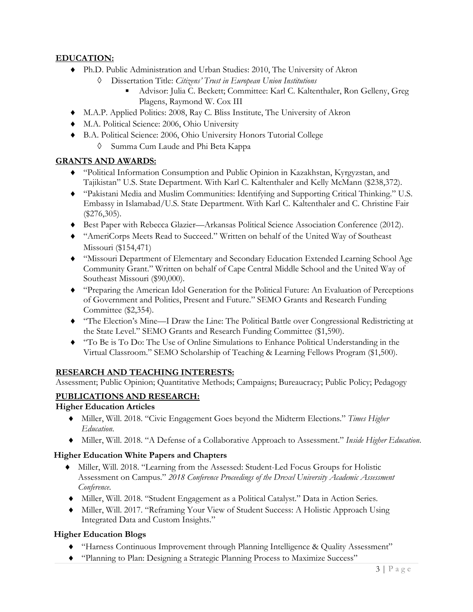# **EDUCATION:**

- ♦ Ph.D. Public Administration and Urban Studies: 2010, The University of Akron
	- ◊ Dissertation Title: *Citizens' Trust in European Union Institutions*
		- Advisor: Julia C. Beckett; Committee: Karl C. Kaltenthaler, Ron Gelleny, Greg Plagens, Raymond W. Cox III
- ♦ M.A.P. Applied Politics: 2008, Ray C. Bliss Institute, The University of Akron
- ♦ M.A. Political Science: 2006, Ohio University
- ♦ B.A. Political Science: 2006, Ohio University Honors Tutorial College
	- Summa Cum Laude and Phi Beta Kappa

### **GRANTS AND AWARDS:**

- ♦ "Political Information Consumption and Public Opinion in Kazakhstan, Kyrgyzstan, and Tajikistan" U.S. State Department. With Karl C. Kaltenthaler and Kelly McMann (\$238,372).
- ♦ "Pakistani Media and Muslim Communities: Identifying and Supporting Critical Thinking." U.S. Embassy in Islamabad/U.S. State Department. With Karl C. Kaltenthaler and C. Christine Fair (\$276,305).
- ♦ Best Paper with Rebecca Glazier—Arkansas Political Science Association Conference (2012).
- ♦ "AmeriCorps Meets Read to Succeed." Written on behalf of the United Way of Southeast Missouri (\$154,471)
- ♦ "Missouri Department of Elementary and Secondary Education Extended Learning School Age Community Grant." Written on behalf of Cape Central Middle School and the United Way of Southeast Missouri (\$90,000).
- ♦ "Preparing the American Idol Generation for the Political Future: An Evaluation of Perceptions of Government and Politics, Present and Future." SEMO Grants and Research Funding Committee (\$2,354).
- ♦ "The Election's Mine—I Draw the Line: The Political Battle over Congressional Redistricting at the State Level." SEMO Grants and Research Funding Committee (\$1,590).
- ♦ "To Be is To Do: The Use of Online Simulations to Enhance Political Understanding in the Virtual Classroom." SEMO Scholarship of Teaching & Learning Fellows Program (\$1,500).

## **RESEARCH AND TEACHING INTERESTS:**

Assessment; Public Opinion; Quantitative Methods; Campaigns; Bureaucracy; Public Policy; Pedagogy

### **PUBLICATIONS AND RESEARCH:**

### **Higher Education Articles**

- ♦ Miller, Will. 2018. "Civic Engagement Goes beyond the Midterm Elections." *Times Higher Education*.
- ♦ Miller, Will. 2018. "A Defense of a Collaborative Approach to Assessment." *Inside Higher Education*.

### **Higher Education White Papers and Chapters**

- ♦ Miller, Will. 2018. "Learning from the Assessed: Student-Led Focus Groups for Holistic Assessment on Campus." *2018 Conference Proceedings of the Drexel University Academic Assessment Conference*.
- ♦ Miller, Will. 2018. "Student Engagement as a Political Catalyst." Data in Action Series.
- ♦ Miller, Will. 2017. "Reframing Your View of Student Success: A Holistic Approach Using Integrated Data and Custom Insights."

### **Higher Education Blogs**

- ♦ "Harness Continuous Improvement through Planning Intelligence & Quality Assessment"
- ♦ "Planning to Plan: Designing a Strategic Planning Process to Maximize Success"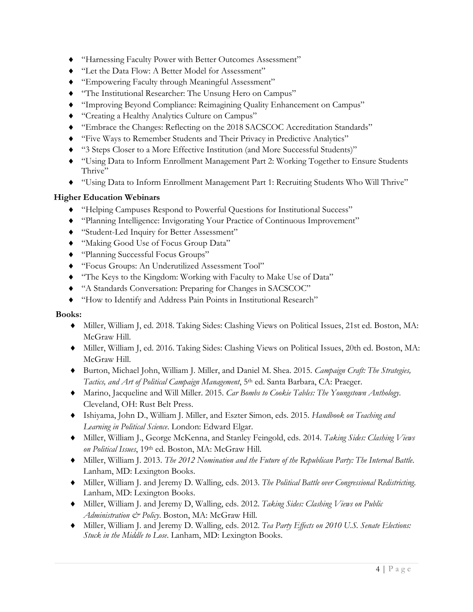- ♦ "Harnessing Faculty Power with Better Outcomes Assessment"
- ♦ "Let the Data Flow: A Better Model for Assessment"
- ♦ "Empowering Faculty through Meaningful Assessment"
- ♦ "The Institutional Researcher: The Unsung Hero on Campus"
- ♦ "Improving Beyond Compliance: Reimagining Quality Enhancement on Campus"
- ♦ "Creating a Healthy Analytics Culture on Campus"
- ♦ "Embrace the Changes: Reflecting on the 2018 SACSCOC Accreditation Standards"
- ♦ "Five Ways to Remember Students and Their Privacy in Predictive Analytics"
- ♦ "3 Steps Closer to a More Effective Institution (and More Successful Students)"
- ♦ "Using Data to Inform Enrollment Management Part 2: Working Together to Ensure Students Thrive"
- ♦ "Using Data to Inform Enrollment Management Part 1: Recruiting Students Who Will Thrive"

# **Higher Education Webinars**

- ♦ "Helping Campuses Respond to Powerful Questions for Institutional Success"
- ♦ "Planning Intelligence: Invigorating Your Practice of Continuous Improvement"
- ♦ "Student-Led Inquiry for Better Assessment"
- ♦ "Making Good Use of Focus Group Data"
- ♦ "Planning Successful Focus Groups"
- ♦ "Focus Groups: An Underutilized Assessment Tool"
- ♦ "The Keys to the Kingdom: Working with Faculty to Make Use of Data"
- ♦ "A Standards Conversation: Preparing for Changes in SACSCOC"
- ♦ "How to Identify and Address Pain Points in Institutional Research"

## **Books:**

- ♦ Miller, William J, ed. 2018. Taking Sides: Clashing Views on Political Issues, 21st ed. Boston, MA: McGraw Hill.
- ♦ Miller, William J, ed. 2016. Taking Sides: Clashing Views on Political Issues, 20th ed. Boston, MA: McGraw Hill.
- ♦ Burton, Michael John, William J. Miller, and Daniel M. Shea. 2015. *Campaign Craft: The Strategies, Tactics, and Art of Political Campaign Management*, 5th ed. Santa Barbara, CA: Praeger.
- ♦ Marino, Jacqueline and Will Miller. 2015. *Car Bombs to Cookie Tables: The Youngstown Anthology*. Cleveland, OH: Rust Belt Press.
- ♦ Ishiyama, John D., William J. Miller, and Eszter Simon, eds. 2015. *Handbook on Teaching and Learning in Political Science*. London: Edward Elgar.
- ♦ Miller, William J., George McKenna, and Stanley Feingold, eds. 2014. *Taking Sides: Clashing Views on Political Issues*, 19th ed. Boston, MA: McGraw Hill.
- ♦ Miller, William J. 2013. *The 2012 Nomination and the Future of the Republican Party: The Internal Battle*. Lanham, MD: Lexington Books.
- ♦ Miller, William J. and Jeremy D. Walling, eds. 2013. *The Political Battle over Congressional Redistricting*. Lanham, MD: Lexington Books.
- ♦ Miller, William J. and Jeremy D, Walling, eds. 2012. *Taking Sides: Clashing Views on Public Administration & Policy*. Boston, MA: McGraw Hill.
- ♦ Miller, William J. and Jeremy D. Walling, eds. 2012. *Tea Party Effects on 2010 U.S. Senate Elections: Stuck in the Middle to Lose*. Lanham, MD: Lexington Books.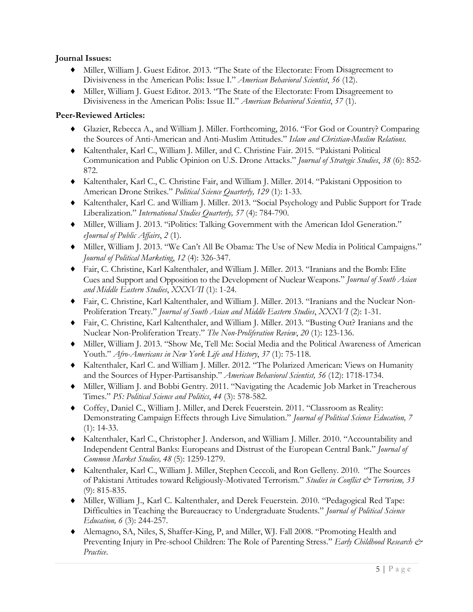### **Journal Issues:**

- ♦ Miller, William J. Guest Editor. 2013. "The State of the Electorate: From Disagreement to Divisiveness in the American Polis: Issue I." *American Behavioral Scientist*, *56* (12).
- ♦ Miller, William J. Guest Editor. 2013. "The State of the Electorate: From Disagreement to Divisiveness in the American Polis: Issue II." *American Behavioral Scientist*, *57* (1).

### **Peer-Reviewed Articles:**

- ♦ Glazier, Rebecca A., and William J. Miller. Forthcoming, 2016. "For God or Country? Comparing the Sources of Anti-American and Anti-Muslim Attitudes." *Islam and Christian-Muslim Relations.*
- ♦ Kaltenthaler, Karl C., William J. Miller, and C. Christine Fair. 2015. "Pakistani Political Communication and Public Opinion on U.S. Drone Attacks." *Journal of Strategic Studies*, *38* (6): 852- 872.
- ♦ Kaltenthaler, Karl C., C. Christine Fair, and William J. Miller. 2014. "Pakistani Opposition to American Drone Strikes." *Political Science Quarterly, 129* (1): 1-33.
- ♦ Kaltenthaler, Karl C. and William J. Miller. 2013. "Social Psychology and Public Support for Trade Liberalization." *International Studies Quarterly, 57* (4): 784-790.
- ♦ Miller, William J. 2013. "iPolitics: Talking Government with the American Idol Generation." *eJournal of Public Affairs*, *2* (1).
- ♦ Miller, William J. 2013. "We Can't All Be Obama: The Use of New Media in Political Campaigns." *Journal of Political Marketing*, *12* (4): 326-347.
- ♦ Fair, C. Christine, Karl Kaltenthaler, and William J. Miller. 2013. "Iranians and the Bomb: Elite Cues and Support and Opposition to the Development of Nuclear Weapons." *Journal of South Asian and Middle Eastern Studies*, *XXXVII* (1): 1-24.
- ♦ Fair, C. Christine, Karl Kaltenthaler, and William J. Miller. 2013. "Iranians and the Nuclear Non-Proliferation Treaty." *Journal of South Asian and Middle Eastern Studies*, *XXXVI* (2): 1-31.
- ♦ Fair, C. Christine, Karl Kaltenthaler, and William J. Miller. 2013. "Busting Out? Iranians and the Nuclear Non-Proliferation Treaty." *The Non-Proliferation Review*, *20* (1): 123-136.
- ♦ Miller, William J. 2013. "Show Me, Tell Me: Social Media and the Political Awareness of American Youth." *Afro-Americans in New York Life and History*, *37* (1): 75-118.
- ♦ Kaltenthaler, Karl C. and William J. Miller. 2012. "The Polarized American: Views on Humanity and the Sources of Hyper-Partisanship." *American Behavioral Scientist, 56* (12): 1718-1734.
- ♦ Miller, William J. and Bobbi Gentry. 2011. "Navigating the Academic Job Market in Treacherous Times." *PS: Political Science and Politics*, *44* (3): 578-582.
- ♦ Coffey, Daniel C., William J. Miller, and Derek Feuerstein. 2011. "Classroom as Reality: Demonstrating Campaign Effects through Live Simulation." *Journal of Political Science Education, 7*  (1): 14-33.
- ♦ Kaltenthaler, Karl C., Christopher J. Anderson, and William J. Miller. 2010. "Accountability and Independent Central Banks: Europeans and Distrust of the European Central Bank." *Journal of Common Market Studies, 48* (5): 1259-1279.
- ♦ Kaltenthaler, Karl C., William J. Miller, Stephen Ceccoli, and Ron Gelleny. 2010. "The Sources of Pakistani Attitudes toward Religiously-Motivated Terrorism." *Studies in Conflict & Terrorism, 33*  (9): 815-835.
- ♦ Miller, William J., Karl C. Kaltenthaler, and Derek Feuerstein. 2010. "Pedagogical Red Tape: Difficulties in Teaching the Bureaucracy to Undergraduate Students." *Journal of Political Science Education, 6* (3): 244-257.
- ♦ Alemagno, SA, Niles, S, Shaffer-King, P, and Miller, WJ. Fall 2008. "Promoting Health and Preventing Injury in Pre-school Children: The Role of Parenting Stress." *Early Childhood Research & Practice*.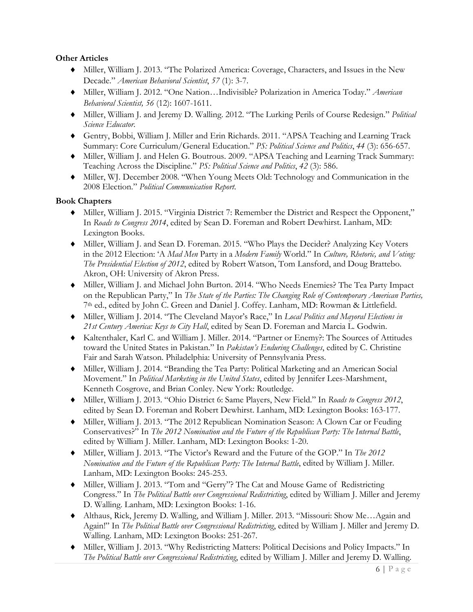### **Other Articles**

- ♦ Miller, William J. 2013. "The Polarized America: Coverage, Characters, and Issues in the New Decade." *American Behavioral Scientist*, *57* (1): 3-7.
- ♦ Miller, William J. 2012. "One Nation…Indivisible? Polarization in America Today." *American Behavioral Scientist, 56* (12): 1607-1611.
- ♦ Miller, William J. and Jeremy D. Walling. 2012. "The Lurking Perils of Course Redesign." *Political Science Educator*.
- ♦ Gentry, Bobbi, William J. Miller and Erin Richards. 2011. "APSA Teaching and Learning Track Summary: Core Curriculum/General Education." *PS: Political Science and Politics*, *44* (3): 656-657.
- ♦ Miller, William J. and Helen G. Boutrous. 2009. "APSA Teaching and Learning Track Summary: Teaching Across the Discipline." *PS: Political Science and Politics*, *42* (3): 586.
- ♦ Miller, WJ. December 2008. "When Young Meets Old: Technology and Communication in the 2008 Election." *Political Communication Report*.

### **Book Chapters**

- ♦ Miller, William J. 2015. "Virginia District 7: Remember the District and Respect the Opponent," In *Roads to Congress 2014*, edited by Sean D. Foreman and Robert Dewhirst. Lanham, MD: Lexington Books.
- ♦ Miller, William J. and Sean D. Foreman. 2015. "Who Plays the Decider? Analyzing Key Voters in the 2012 Election: 'A *Mad Men* Party in a *Modern Family* World." In *Culture, Rhetoric, and Voting: The Presidential Election of 2012*, edited by Robert Watson, Tom Lansford, and Doug Brattebo. Akron, OH: University of Akron Press.
- ♦ Miller, William J. and Michael John Burton. 2014. "Who Needs Enemies? The Tea Party Impact on the Republican Party," In *The State of the Parties: The Changing Role of Contemporary American Parties,*  7th ed., edited by John C. Green and Daniel J. Coffey. Lanham, MD: Rowman & Littlefield.
- ♦ Miller, William J. 2014. "The Cleveland Mayor's Race," In *Local Politics and Mayoral Elections in 21st Century America: Keys to City Hall*, edited by Sean D. Foreman and Marcia L. Godwin.
- ♦ Kaltenthaler, Karl C. and William J. Miller. 2014. "Partner or Enemy?: The Sources of Attitudes toward the United States in Pakistan." In *Pakistan's Enduring Challenges*, edited by C. Christine Fair and Sarah Watson. Philadelphia: University of Pennsylvania Press.
- ♦ Miller, William J. 2014. "Branding the Tea Party: Political Marketing and an American Social Movement." In *Political Marketing in the United States*, edited by Jennifer Lees-Marshment, Kenneth Cosgrove, and Brian Conley. New York: Routledge.
- ♦ Miller, William J. 2013. "Ohio District 6: Same Players, New Field." In *Roads to Congress 2012*, edited by Sean D. Foreman and Robert Dewhirst. Lanham, MD: Lexington Books: 163-177.
- ♦ Miller, William J. 2013. "The 2012 Republican Nomination Season: A Clown Car or Feuding Conservatives?" In *The 2012 Nomination and the Future of the Republican Party: The Internal Battle*, edited by William J. Miller. Lanham, MD: Lexington Books: 1-20.
- ♦ Miller, William J. 2013. "The Victor's Reward and the Future of the GOP." In *The 2012 Nomination and the Future of the Republican Party: The Internal Battle*, edited by William J. Miller. Lanham, MD: Lexington Books: 245-253.
- ♦ Miller, William J. 2013. "Tom and "Gerry"? The Cat and Mouse Game of Redistricting Congress." In *The Political Battle over Congressional Redistricting*, edited by William J. Miller and Jeremy D. Walling. Lanham, MD: Lexington Books: 1-16.
- ♦ Althaus, Rick, Jeremy D. Walling, and William J. Miller. 2013. "Missouri: Show Me…Again and Again!" In *The Political Battle over Congressional Redistricting*, edited by William J. Miller and Jeremy D. Walling. Lanham, MD: Lexington Books: 251-267.
- ♦ Miller, William J. 2013. "Why Redistricting Matters: Political Decisions and Policy Impacts." In *The Political Battle over Congressional Redistricting*, edited by William J. Miller and Jeremy D. Walling.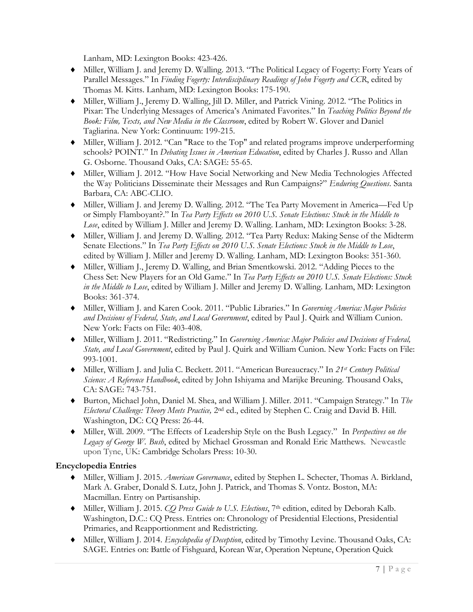Lanham, MD: Lexington Books: 423-426.

- ♦ Miller, William J. and Jeremy D. Walling. 2013. "The Political Legacy of Fogerty: Forty Years of Parallel Messages." In *Finding Fogerty: Interdisciplinary Readings of John Fogerty and CCR*, edited by Thomas M. Kitts. Lanham, MD: Lexington Books: 175-190.
- ♦ Miller, William J., Jeremy D. Walling, Jill D. Miller, and Patrick Vining. 2012. "The Politics in Pixar: The Underlying Messages of America's Animated Favorites." In *Teaching Politics Beyond the Book: Film, Texts, and New Media in the Classroom*, edited by Robert W. Glover and Daniel Tagliarina. New York: Continuum: 199-215.
- ♦ Miller, William J. 2012. "Can "Race to the Top" and related programs improve underperforming schools? POINT." In *Debating Issues in American Education*, edited by Charles J. Russo and Allan G. Osborne. Thousand Oaks, CA: SAGE: 55-65.
- ♦ Miller, William J. 2012. "How Have Social Networking and New Media Technologies Affected the Way Politicians Disseminate their Messages and Run Campaigns?" *Enduring Questions*. Santa Barbara, CA: ABC-CLIO.
- ♦ Miller, William J. and Jeremy D. Walling. 2012. "The Tea Party Movement in America—Fed Up or Simply Flamboyant?." In *Tea Party Effects on 2010 U.S. Senate Elections: Stuck in the Middle to Lose*, edited by William J. Miller and Jeremy D. Walling. Lanham, MD: Lexington Books: 3-28.
- ♦ Miller, William J. and Jeremy D. Walling. 2012. "Tea Party Redux: Making Sense of the Midterm Senate Elections." In *Tea Party Effects on 2010 U.S. Senate Elections: Stuck in the Middle to Lose*, edited by William J. Miller and Jeremy D. Walling. Lanham, MD: Lexington Books: 351-360.
- ♦ Miller, William J., Jeremy D. Walling, and Brian Smentkowski. 2012. "Adding Pieces to the Chess Set: New Players for an Old Game." In *Tea Party Effects on 2010 U.S. Senate Elections: Stuck in the Middle to Lose*, edited by William J. Miller and Jeremy D. Walling. Lanham, MD: Lexington Books: 361-374.
- ♦ Miller, William J. and Karen Cook. 2011. "Public Libraries." In *Governing America: Major Policies and Decisions of Federal, State, and Local Government*, edited by Paul J. Quirk and William Cunion. New York: Facts on File: 403-408.
- ♦ Miller, William J. 2011. "Redistricting." In *Governing America: Major Policies and Decisions of Federal, State, and Local Government*, edited by Paul J. Quirk and William Cunion. New York: Facts on File: 993-1001.
- ♦ Miller, William J. and Julia C. Beckett. 2011. "American Bureaucracy." In *21st Century Political Science: A Reference Handbook*, edited by John Ishiyama and Marijke Breuning. Thousand Oaks, CA: SAGE: 743-751.
- ♦ Burton, Michael John, Daniel M. Shea, and William J. Miller. 2011. "Campaign Strategy." In *The Electoral Challenge: Theory Meets Practice,* 2nd ed., edited by Stephen C. Craig and David B. Hill. Washington, DC: CQ Press: 26-44.
- ♦ Miller, Will. 2009. "The Effects of Leadership Style on the Bush Legacy." In *Perspectives on the Legacy of George W. Bush*, edited by Michael Grossman and Ronald Eric Matthews. Newcastle upon Tyne, UK: Cambridge Scholars Press: 10-30.

### **Encyclopedia Entries**

- ♦ Miller, William J. 2015. *American Governance*, edited by Stephen L. Schecter, Thomas A. Birkland, Mark A. Graber, Donald S. Lutz, John J. Patrick, and Thomas S. Vontz. Boston, MA: Macmillan. Entry on Partisanship.
- ♦ Miller, William J. 2015. *CQ Press Guide to U.S. Elections*, 7th edition, edited by Deborah Kalb. Washington, D.C.: CQ Press. Entries on: Chronology of Presidential Elections, Presidential Primaries, and Reapportionment and Redistricting.
- ♦ Miller, William J. 2014. *Encyclopedia of Deception*, edited by Timothy Levine. Thousand Oaks, CA: SAGE. Entries on: Battle of Fishguard, Korean War, Operation Neptune, Operation Quick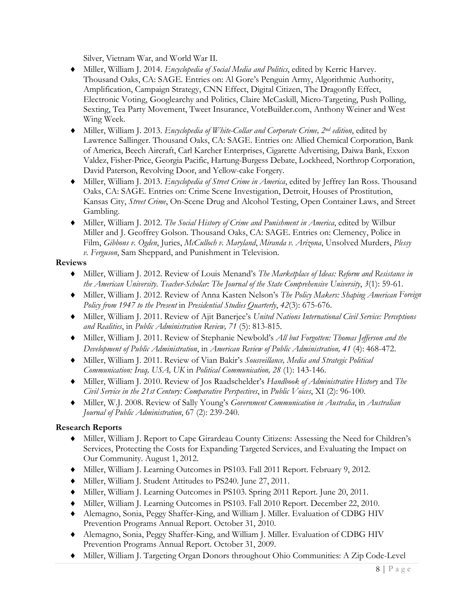Silver, Vietnam War, and World War II.

- ♦ Miller, William J. 2014. *Encyclopedia of Social Media and Politics*, edited by Kerric Harvey. Thousand Oaks, CA: SAGE. Entries on: Al Gore's Penguin Army, Algorithmic Authority, Amplification, Campaign Strategy, CNN Effect, Digital Citizen, The Dragonfly Effect, Electronic Voting, Googlearchy and Politics, Claire McCaskill, Micro-Targeting, Push Polling, Sexting, Tea Party Movement, Tweet Insurance, VoteBuilder.com, Anthony Weiner and West Wing Week.
- ♦ Miller, William J. 2013. *Encyclopedia of White-Collar and Corporate Crime, 2nd edition*, edited by Lawrence Sallinger. Thousand Oaks, CA: SAGE. Entries on: Allied Chemical Corporation, Bank of America, Beech Aircraft, Carl Karcher Enterprises, Cigarette Advertising, Daiwa Bank, Exxon Valdez, Fisher-Price, Georgia Pacific, Hartung-Burgess Debate, Lockheed, Northrop Corporation, David Paterson, Revolving Door, and Yellow-cake Forgery.
- ♦ Miller, William J. 2013. *Encyclopedia of Street Crime in America*, edited by Jeffrey Ian Ross. Thousand Oaks, CA: SAGE. Entries on: Crime Scene Investigation, Detroit, Houses of Prostitution, Kansas City, *Street Crime*, On-Scene Drug and Alcohol Testing, Open Container Laws, and Street Gambling.
- ♦ Miller, William J. 2012. *The Social History of Crime and Punishment in America*, edited by Wilbur Miller and J. Geoffrey Golson. Thousand Oaks, CA: SAGE. Entries on: Clemency, Police in Film, *Gibbons v. Ogden*, Juries, *McCulloch v. Maryland*, *Miranda v. Arizona*, Unsolved Murders, *Plessy v. Ferguson*, Sam Sheppard, and Punishment in Television.

#### **Reviews**

- ♦ Miller, William J. 2012. Review of Louis Menand's *The Marketplace of Ideas: Reform and Resistance in the American University*. *Teacher-Scholar: The Journal of the State Comprehensive University*, *3*(1): 59-61.
- ♦ Miller, William J. 2012. Review of Anna Kasten Nelson's *The Policy Makers: Shaping American Foreign Policy from 1947 to the Present* in *Presidential Studies Quarterly*, *42*(3): 675-676.
- ♦ Miller, William J. 2011. Review of Ajit Banerjee's *United Nations International Civil Service: Perceptions and Realities*, in *Public Administration Review, 71* (5): 813-815.
- ♦ Miller, William J. 2011. Review of Stephanie Newbold's *All but Forgotten: Thomas Jefferson and the Development of Public Administration*, in *American Review of Public Administration, 41* (4): 468-472.
- ♦ Miller, William J. 2011. Review of Vian Bakir's *Sousveillance, Media and Strategic Political Communication: Iraq, USA, UK* in *Political Communication, 28* (1): 143-146.
- ♦ Miller, William J. 2010. Review of Jos Raadschelder's *Handbook of Administrative History* and *The Civil Service in the 21st Century: Comparative Perspectives*, in *Public Voices*, XI (2): 96-100.
- ♦ Miller, W.J. 2008. Review of Sally Young's *Government Communication in Australia*, in *Australian Journal of Public Administration*, 67 (2): 239-240.

## **Research Reports**

- ♦ Miller, William J. Report to Cape Girardeau County Citizens: Assessing the Need for Children's Services, Protecting the Costs for Expanding Targeted Services, and Evaluating the Impact on Our Community. August 1, 2012.
- ♦ Miller, William J. Learning Outcomes in PS103. Fall 2011 Report. February 9, 2012.
- ♦ Miller, William J. Student Attitudes to PS240. June 27, 2011.
- ♦ Miller, William J. Learning Outcomes in PS103. Spring 2011 Report. June 20, 2011.
- ♦ Miller, William J. Learning Outcomes in PS103. Fall 2010 Report. December 22, 2010.
- ♦ Alemagno, Sonia, Peggy Shaffer-King, and William J. Miller. Evaluation of CDBG HIV Prevention Programs Annual Report. October 31, 2010.
- ♦ Alemagno, Sonia, Peggy Shaffer-King, and William J. Miller. Evaluation of CDBG HIV Prevention Programs Annual Report. October 31, 2009.
- ♦ Miller, William J. Targeting Organ Donors throughout Ohio Communities: A Zip Code-Level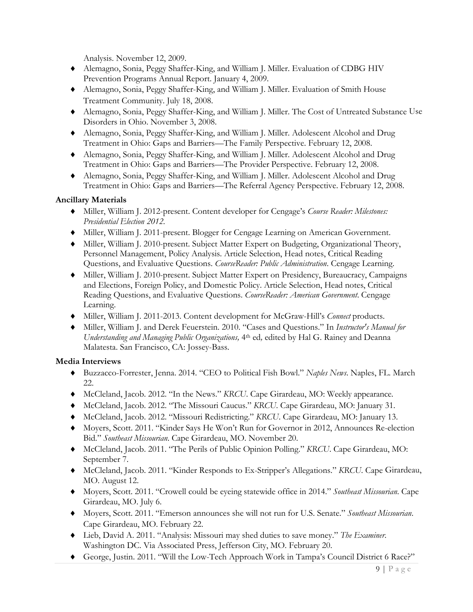Analysis. November 12, 2009.

- ♦ Alemagno, Sonia, Peggy Shaffer-King, and William J. Miller. Evaluation of CDBG HIV Prevention Programs Annual Report. January 4, 2009.
- ♦ Alemagno, Sonia, Peggy Shaffer-King, and William J. Miller. Evaluation of Smith House Treatment Community. July 18, 2008.
- ♦ Alemagno, Sonia, Peggy Shaffer-King, and William J. Miller. The Cost of Untreated Substance Use Disorders in Ohio. November 3, 2008.
- ♦ Alemagno, Sonia, Peggy Shaffer-King, and William J. Miller. Adolescent Alcohol and Drug Treatment in Ohio: Gaps and Barriers—The Family Perspective. February 12, 2008.
- ♦ Alemagno, Sonia, Peggy Shaffer-King, and William J. Miller. Adolescent Alcohol and Drug Treatment in Ohio: Gaps and Barriers—The Provider Perspective. February 12, 2008.
- ♦ Alemagno, Sonia, Peggy Shaffer-King, and William J. Miller. Adolescent Alcohol and Drug Treatment in Ohio: Gaps and Barriers—The Referral Agency Perspective. February 12, 2008.

### **Ancillary Materials**

- ♦ Miller, William J. 2012-present. Content developer for Cengage's *Course Reader: Milestones: Presidential Election 2012*.
- ♦ Miller, William J. 2011-present. Blogger for Cengage Learning on American Government.
- ♦ Miller, William J. 2010-present. Subject Matter Expert on Budgeting, Organizational Theory, Personnel Management, Policy Analysis. Article Selection, Head notes, Critical Reading Questions, and Evaluative Questions. *CourseReader: Public Administration*. Cengage Learning.
- ♦ Miller, William J. 2010-present. Subject Matter Expert on Presidency, Bureaucracy, Campaigns and Elections, Foreign Policy, and Domestic Policy. Article Selection, Head notes, Critical Reading Questions, and Evaluative Questions. *CourseReader: American Government*. Cengage Learning.
- ♦ Miller, William J. 2011-2013. Content development for McGraw-Hill's *Connect* products.
- ♦ Miller, William J. and Derek Feuerstein. 2010. "Cases and Questions." In *Instructor's Manual for Understanding and Managing Public Organizations,* 4th ed*,* edited by Hal G. Rainey and Deanna Malatesta. San Francisco, CA: Jossey-Bass.

### **Media Interviews**

- ♦ Buzzacco-Forrester, Jenna. 2014. "CEO to Political Fish Bowl." *Naples News*. Naples, FL. March 22.
- ♦ McCleland, Jacob. 2012. "In the News." *KRCU*. Cape Girardeau, MO: Weekly appearance.
- ♦ McCleland, Jacob. 2012. "The Missouri Caucus." *KRCU*. Cape Girardeau, MO: January 31.
- ♦ McCleland, Jacob. 2012. "Missouri Redistricting." *KRCU*. Cape Girardeau, MO: January 13.
- ♦ Moyers, Scott. 2011. "Kinder Says He Won't Run for Governor in 2012, Announces Re-election Bid." *Southeast Missourian*. Cape Girardeau, MO. November 20.
- ♦ McCleland, Jacob. 2011. "The Perils of Public Opinion Polling." *KRCU*. Cape Girardeau, MO: September 7.
- ♦ McCleland, Jacob. 2011. "Kinder Responds to Ex-Stripper's Allegations." *KRCU*. Cape Girardeau, MO. August 12.
- ♦ Moyers, Scott. 2011. "Crowell could be eyeing statewide office in 2014." *Southeast Missourian*. Cape Girardeau, MO. July 6.
- ♦ Moyers, Scott. 2011. "Emerson announces she will not run for U.S. Senate." *Southeast Missourian*. Cape Girardeau, MO. February 22.
- ♦ Lieb, David A. 2011. "Analysis: Missouri may shed duties to save money." *The Examiner*. Washington DC. Via Associated Press, Jefferson City, MO. February 20.
- ♦ George, Justin. 2011. "Will the Low-Tech Approach Work in Tampa's Council District 6 Race?"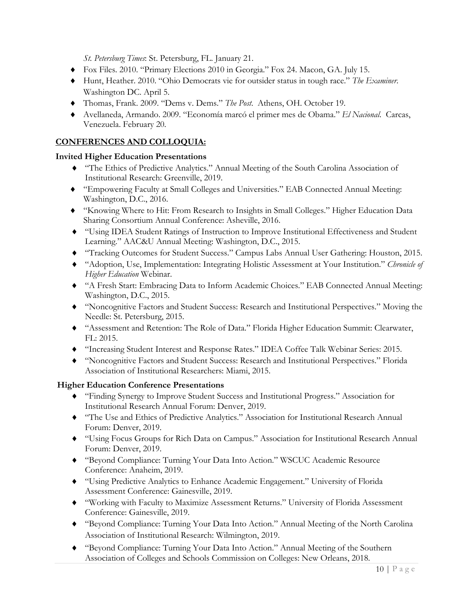*St. Petersburg Times*: St. Petersburg, FL. January 21.

- ♦ Fox Files. 2010. "Primary Elections 2010 in Georgia." Fox 24. Macon, GA. July 15.
- ♦ Hunt, Heather. 2010. "Ohio Democrats vie for outsider status in tough race." *The Examiner*. Washington DC. April 5.
- ♦ Thomas, Frank. 2009. "Dems v. Dems." *The Post*. Athens, OH. October 19.
- ♦ Avellaneda, Armando. 2009. "Economía marcó el primer mes de Obama." *El Nacional*. Carcas, Venezuela. February 20.

### **CONFERENCES AND COLLOQUIA:**

### **Invited Higher Education Presentations**

- ♦ "The Ethics of Predictive Analytics." Annual Meeting of the South Carolina Association of Institutional Research: Greenville, 2019.
- ♦ "Empowering Faculty at Small Colleges and Universities." EAB Connected Annual Meeting: Washington, D.C., 2016.
- ♦ "Knowing Where to Hit: From Research to Insights in Small Colleges." Higher Education Data Sharing Consortium Annual Conference: Asheville, 2016.
- ♦ "Using IDEA Student Ratings of Instruction to Improve Institutional Effectiveness and Student Learning." AAC&U Annual Meeting: Washington, D.C., 2015.
- ♦ "Tracking Outcomes for Student Success." Campus Labs Annual User Gathering: Houston, 2015.
- ♦ "Adoption, Use, Implementation: Integrating Holistic Assessment at Your Institution." *Chronicle of Higher Education* Webinar.
- ♦ "A Fresh Start: Embracing Data to Inform Academic Choices." EAB Connected Annual Meeting: Washington, D.C., 2015.
- ♦ "Noncognitive Factors and Student Success: Research and Institutional Perspectives." Moving the Needle: St. Petersburg, 2015.
- ♦ "Assessment and Retention: The Role of Data." Florida Higher Education Summit: Clearwater, FL: 2015.
- ♦ "Increasing Student Interest and Response Rates." IDEA Coffee Talk Webinar Series: 2015.
- ♦ "Noncognitive Factors and Student Success: Research and Institutional Perspectives." Florida Association of Institutional Researchers: Miami, 2015.

### **Higher Education Conference Presentations**

- ♦ "Finding Synergy to Improve Student Success and Institutional Progress." Association for Institutional Research Annual Forum: Denver, 2019.
- ♦ "The Use and Ethics of Predictive Analytics." Association for Institutional Research Annual Forum: Denver, 2019.
- ♦ "Using Focus Groups for Rich Data on Campus." Association for Institutional Research Annual Forum: Denver, 2019.
- ♦ "Beyond Compliance: Turning Your Data Into Action." WSCUC Academic Resource Conference: Anaheim, 2019.
- ♦ "Using Predictive Analytics to Enhance Academic Engagement." University of Florida Assessment Conference: Gainesville, 2019.
- ♦ "Working with Faculty to Maximize Assessment Returns." University of Florida Assessment Conference: Gainesville, 2019.
- ♦ "Beyond Compliance: Turning Your Data Into Action." Annual Meeting of the North Carolina Association of Institutional Research: Wilmington, 2019.
- ♦ "Beyond Compliance: Turning Your Data Into Action." Annual Meeting of the Southern Association of Colleges and Schools Commission on Colleges: New Orleans, 2018.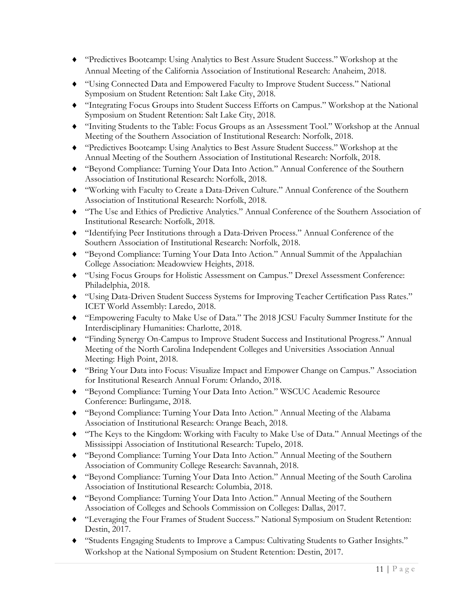- ♦ "Predictives Bootcamp: Using Analytics to Best Assure Student Success." Workshop at the Annual Meeting of the California Association of Institutional Research: Anaheim, 2018.
- ♦ "Using Connected Data and Empowered Faculty to Improve Student Success." National Symposium on Student Retention: Salt Lake City, 2018.
- ♦ "Integrating Focus Groups into Student Success Efforts on Campus." Workshop at the National Symposium on Student Retention: Salt Lake City, 2018.
- ♦ "Inviting Students to the Table: Focus Groups as an Assessment Tool." Workshop at the Annual Meeting of the Southern Association of Institutional Research: Norfolk, 2018.
- ♦ "Predictives Bootcamp: Using Analytics to Best Assure Student Success." Workshop at the Annual Meeting of the Southern Association of Institutional Research: Norfolk, 2018.
- ♦ "Beyond Compliance: Turning Your Data Into Action." Annual Conference of the Southern Association of Institutional Research: Norfolk, 2018.
- ♦ "Working with Faculty to Create a Data-Driven Culture." Annual Conference of the Southern Association of Institutional Research: Norfolk, 2018.
- ♦ "The Use and Ethics of Predictive Analytics." Annual Conference of the Southern Association of Institutional Research: Norfolk, 2018.
- ♦ "Identifying Peer Institutions through a Data-Driven Process." Annual Conference of the Southern Association of Institutional Research: Norfolk, 2018.
- ♦ "Beyond Compliance: Turning Your Data Into Action." Annual Summit of the Appalachian College Association: Meadowview Heights, 2018.
- ♦ "Using Focus Groups for Holistic Assessment on Campus." Drexel Assessment Conference: Philadelphia, 2018.
- ♦ "Using Data-Driven Student Success Systems for Improving Teacher Certification Pass Rates." ICET World Assembly: Laredo, 2018.
- ♦ "Empowering Faculty to Make Use of Data." The 2018 JCSU Faculty Summer Institute for the Interdisciplinary Humanities: Charlotte, 2018.
- ♦ "Finding Synergy On-Campus to Improve Student Success and Institutional Progress." Annual Meeting of the North Carolina Independent Colleges and Universities Association Annual Meeting: High Point, 2018.
- ♦ "Bring Your Data into Focus: Visualize Impact and Empower Change on Campus." Association for Institutional Research Annual Forum: Orlando, 2018.
- ♦ "Beyond Compliance: Turning Your Data Into Action." WSCUC Academic Resource Conference: Burlingame, 2018.
- ♦ "Beyond Compliance: Turning Your Data Into Action." Annual Meeting of the Alabama Association of Institutional Research: Orange Beach, 2018.
- ♦ "The Keys to the Kingdom: Working with Faculty to Make Use of Data." Annual Meetings of the Mississippi Association of Institutional Research: Tupelo, 2018.
- ♦ "Beyond Compliance: Turning Your Data Into Action." Annual Meeting of the Southern Association of Community College Research: Savannah, 2018.
- ♦ "Beyond Compliance: Turning Your Data Into Action." Annual Meeting of the South Carolina Association of Institutional Research: Columbia, 2018.
- ♦ "Beyond Compliance: Turning Your Data Into Action." Annual Meeting of the Southern Association of Colleges and Schools Commission on Colleges: Dallas, 2017.
- ♦ "Leveraging the Four Frames of Student Success." National Symposium on Student Retention: Destin, 2017.
- ♦ "Students Engaging Students to Improve a Campus: Cultivating Students to Gather Insights." Workshop at the National Symposium on Student Retention: Destin, 2017.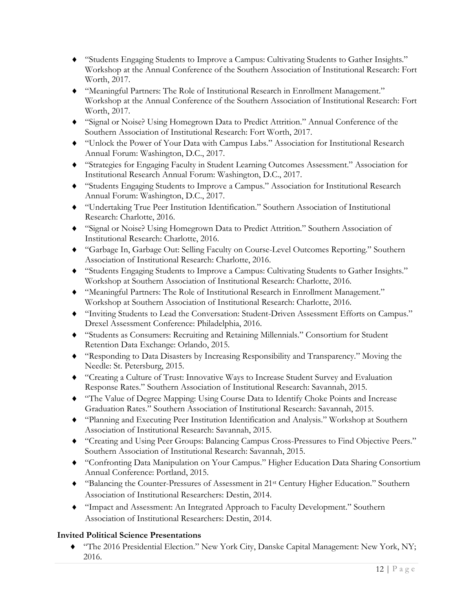- ♦ "Students Engaging Students to Improve a Campus: Cultivating Students to Gather Insights." Workshop at the Annual Conference of the Southern Association of Institutional Research: Fort Worth, 2017.
- ♦ "Meaningful Partners: The Role of Institutional Research in Enrollment Management." Workshop at the Annual Conference of the Southern Association of Institutional Research: Fort Worth, 2017.
- ♦ "Signal or Noise? Using Homegrown Data to Predict Attrition." Annual Conference of the Southern Association of Institutional Research: Fort Worth, 2017.
- ♦ "Unlock the Power of Your Data with Campus Labs." Association for Institutional Research Annual Forum: Washington, D.C., 2017.
- ♦ "Strategies for Engaging Faculty in Student Learning Outcomes Assessment." Association for Institutional Research Annual Forum: Washington, D.C., 2017.
- ♦ "Students Engaging Students to Improve a Campus." Association for Institutional Research Annual Forum: Washington, D.C., 2017.
- ♦ "Undertaking True Peer Institution Identification." Southern Association of Institutional Research: Charlotte, 2016.
- ♦ "Signal or Noise? Using Homegrown Data to Predict Attrition." Southern Association of Institutional Research: Charlotte, 2016.
- ♦ "Garbage In, Garbage Out: Selling Faculty on Course-Level Outcomes Reporting." Southern Association of Institutional Research: Charlotte, 2016.
- ♦ "Students Engaging Students to Improve a Campus: Cultivating Students to Gather Insights." Workshop at Southern Association of Institutional Research: Charlotte, 2016.
- ♦ "Meaningful Partners: The Role of Institutional Research in Enrollment Management." Workshop at Southern Association of Institutional Research: Charlotte, 2016.
- ♦ "Inviting Students to Lead the Conversation: Student-Driven Assessment Efforts on Campus." Drexel Assessment Conference: Philadelphia, 2016.
- ♦ "Students as Consumers: Recruiting and Retaining Millennials." Consortium for Student Retention Data Exchange: Orlando, 2015.
- ♦ "Responding to Data Disasters by Increasing Responsibility and Transparency." Moving the Needle: St. Petersburg, 2015.
- ♦ "Creating a Culture of Trust: Innovative Ways to Increase Student Survey and Evaluation Response Rates." Southern Association of Institutional Research: Savannah, 2015.
- ♦ "The Value of Degree Mapping: Using Course Data to Identify Choke Points and Increase Graduation Rates." Southern Association of Institutional Research: Savannah, 2015.
- ♦ "Planning and Executing Peer Institution Identification and Analysis." Workshop at Southern Association of Institutional Research: Savannah, 2015.
- ♦ "Creating and Using Peer Groups: Balancing Campus Cross-Pressures to Find Objective Peers." Southern Association of Institutional Research: Savannah, 2015.
- ♦ "Confronting Data Manipulation on Your Campus." Higher Education Data Sharing Consortium Annual Conference: Portland, 2015.
- ♦ "Balancing the Counter-Pressures of Assessment in 21st Century Higher Education." Southern Association of Institutional Researchers: Destin, 2014.
- ♦ "Impact and Assessment: An Integrated Approach to Faculty Development." Southern Association of Institutional Researchers: Destin, 2014.

## **Invited Political Science Presentations**

♦ "The 2016 Presidential Election." New York City, Danske Capital Management: New York, NY; 2016.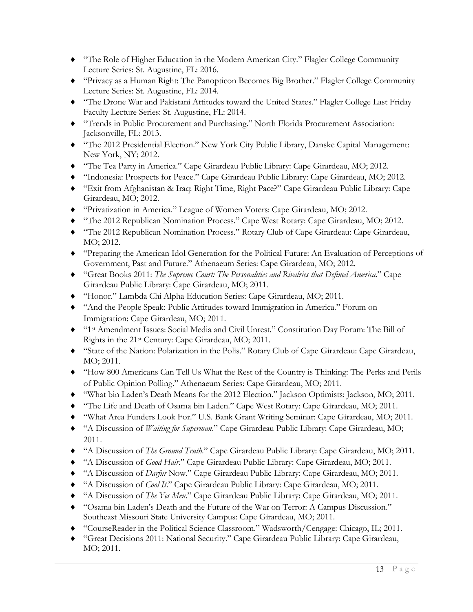- ♦ "The Role of Higher Education in the Modern American City." Flagler College Community Lecture Series: St. Augustine, FL: 2016.
- ♦ "Privacy as a Human Right: The Panopticon Becomes Big Brother." Flagler College Community Lecture Series: St. Augustine, FL: 2014.
- ♦ "The Drone War and Pakistani Attitudes toward the United States." Flagler College Last Friday Faculty Lecture Series: St. Augustine, FL: 2014.
- ♦ "Trends in Public Procurement and Purchasing." North Florida Procurement Association: Jacksonville, FL: 2013.
- ♦ "The 2012 Presidential Election." New York City Public Library, Danske Capital Management: New York, NY; 2012.
- ♦ "The Tea Party in America." Cape Girardeau Public Library: Cape Girardeau, MO; 2012.
- ♦ "Indonesia: Prospects for Peace." Cape Girardeau Public Library: Cape Girardeau, MO; 2012.
- ♦ "Exit from Afghanistan & Iraq: Right Time, Right Pace?" Cape Girardeau Public Library: Cape Girardeau, MO; 2012.
- ♦ "Privatization in America." League of Women Voters: Cape Girardeau, MO; 2012.
- ♦ "The 2012 Republican Nomination Process." Cape West Rotary: Cape Girardeau, MO; 2012.
- ♦ "The 2012 Republican Nomination Process." Rotary Club of Cape Girardeau: Cape Girardeau, MO; 2012.
- ♦ "Preparing the American Idol Generation for the Political Future: An Evaluation of Perceptions of Government, Past and Future." Athenaeum Series: Cape Girardeau, MO; 2012.
- ♦ "Great Books 2011: *The Supreme Court: The Personalities and Rivalries that Defined America*." Cape Girardeau Public Library: Cape Girardeau, MO; 2011.
- ♦ "Honor." Lambda Chi Alpha Education Series: Cape Girardeau, MO; 2011.
- ♦ "And the People Speak: Public Attitudes toward Immigration in America." Forum on Immigration: Cape Girardeau, MO; 2011.
- ♦ "1st Amendment Issues: Social Media and Civil Unrest." Constitution Day Forum: The Bill of Rights in the 21st Century: Cape Girardeau, MO; 2011.
- ♦ "State of the Nation: Polarization in the Polis." Rotary Club of Cape Girardeau: Cape Girardeau, MO; 2011.
- ♦ "How 800 Americans Can Tell Us What the Rest of the Country is Thinking: The Perks and Perils of Public Opinion Polling." Athenaeum Series: Cape Girardeau, MO; 2011.
- ♦ "What bin Laden's Death Means for the 2012 Election." Jackson Optimists: Jackson, MO; 2011.
- ♦ "The Life and Death of Osama bin Laden." Cape West Rotary: Cape Girardeau, MO; 2011.
- ♦ "What Area Funders Look For." U.S. Bank Grant Writing Seminar: Cape Girardeau, MO; 2011.
- ♦ "A Discussion of *Waiting for Superman*." Cape Girardeau Public Library: Cape Girardeau, MO; 2011.
- ♦ "A Discussion of *The Ground Truth*." Cape Girardeau Public Library: Cape Girardeau, MO; 2011.
- ♦ "A Discussion of *Good Hair*." Cape Girardeau Public Library: Cape Girardeau, MO; 2011.
- ♦ "A Discussion of *Darfur* Now." Cape Girardeau Public Library: Cape Girardeau, MO; 2011.
- ♦ "A Discussion of *Cool It*." Cape Girardeau Public Library: Cape Girardeau, MO; 2011.
- ♦ "A Discussion of *The Yes Men*." Cape Girardeau Public Library: Cape Girardeau, MO; 2011.
- ♦ "Osama bin Laden's Death and the Future of the War on Terror: A Campus Discussion." Southeast Missouri State University Campus: Cape Girardeau, MO; 2011.
- ♦ "CourseReader in the Political Science Classroom." Wadsworth/Cengage: Chicago, IL; 2011.
- ♦ "Great Decisions 2011: National Security." Cape Girardeau Public Library: Cape Girardeau, MO; 2011.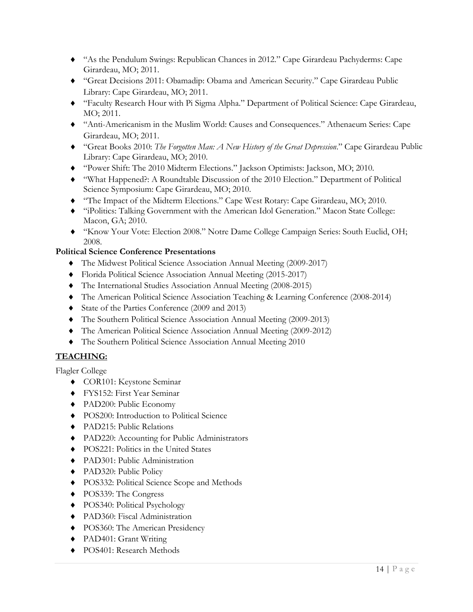- ♦ "As the Pendulum Swings: Republican Chances in 2012." Cape Girardeau Pachyderms: Cape Girardeau, MO; 2011.
- ♦ "Great Decisions 2011: Obamadip: Obama and American Security." Cape Girardeau Public Library: Cape Girardeau, MO; 2011.
- ♦ "Faculty Research Hour with Pi Sigma Alpha." Department of Political Science: Cape Girardeau, MO; 2011.
- ♦ "Anti-Americanism in the Muslim World: Causes and Consequences." Athenaeum Series: Cape Girardeau, MO; 2011.
- ♦ "Great Books 2010: *The Forgotten Man: A New History of the Great Depression*." Cape Girardeau Public Library: Cape Girardeau, MO; 2010.
- ♦ "Power Shift: The 2010 Midterm Elections." Jackson Optimists: Jackson, MO; 2010.
- ♦ "What Happened?: A Roundtable Discussion of the 2010 Election." Department of Political Science Symposium: Cape Girardeau, MO; 2010.
- ♦ "The Impact of the Midterm Elections." Cape West Rotary: Cape Girardeau, MO; 2010.
- ♦ "iPolitics: Talking Government with the American Idol Generation." Macon State College: Macon, GA; 2010.
- ♦ "Know Your Vote: Election 2008." Notre Dame College Campaign Series: South Euclid, OH; 2008.

### **Political Science Conference Presentations**

- ♦ The Midwest Political Science Association Annual Meeting (2009-2017)
- ♦ Florida Political Science Association Annual Meeting (2015-2017)
- ♦ The International Studies Association Annual Meeting (2008-2015)
- ♦ The American Political Science Association Teaching & Learning Conference (2008-2014)
- ♦ State of the Parties Conference (2009 and 2013)
- ♦ The Southern Political Science Association Annual Meeting (2009-2013)
- ♦ The American Political Science Association Annual Meeting (2009-2012)
- ♦ The Southern Political Science Association Annual Meeting 2010

## **TEACHING:**

Flagler College

- ♦ COR101: Keystone Seminar
- ♦ FYS152: First Year Seminar
- ♦ PAD200: Public Economy
- ♦ POS200: Introduction to Political Science
- ♦ PAD215: Public Relations
- ♦ PAD220: Accounting for Public Administrators
- ♦ POS221: Politics in the United States
- ♦ PAD301: Public Administration
- ♦ PAD320: Public Policy
- ♦ POS332: Political Science Scope and Methods
- ♦ POS339: The Congress
- ♦ POS340: Political Psychology
- ♦ PAD360: Fiscal Administration
- ◆ POS360: The American Presidency
- ♦ PAD401: Grant Writing
- ♦ POS401: Research Methods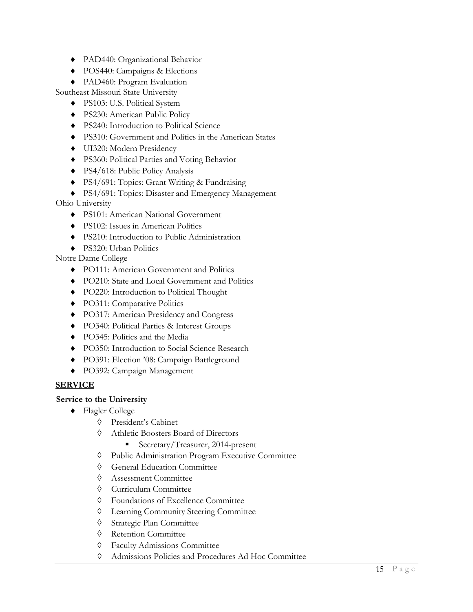- ♦ PAD440: Organizational Behavior
- ♦ POS440: Campaigns & Elections
- ♦ PAD460: Program Evaluation

Southeast Missouri State University

- ♦ PS103: U.S. Political System
- ♦ PS230: American Public Policy
- ♦ PS240: Introduction to Political Science
- ♦ PS310: Government and Politics in the American States
- ♦ UI320: Modern Presidency
- ♦ PS360: Political Parties and Voting Behavior
- ♦ PS4/618: Public Policy Analysis
- ♦ PS4/691: Topics: Grant Writing & Fundraising
- ♦ PS4/691: Topics: Disaster and Emergency Management

Ohio University

- ♦ PS101: American National Government
- ♦ PS102: Issues in American Politics
- ♦ PS210: Introduction to Public Administration
- ♦ PS320: Urban Politics

Notre Dame College

- ♦ PO111: American Government and Politics
- ♦ PO210: State and Local Government and Politics
- ♦ PO220: Introduction to Political Thought
- ♦ PO311: Comparative Politics
- ♦ PO317: American Presidency and Congress
- ♦ PO340: Political Parties & Interest Groups
- ♦ PO345: Politics and the Media
- ♦ PO350: Introduction to Social Science Research
- ♦ PO391: Election '08: Campaign Battleground
- ♦ PO392: Campaign Management

### **SERVICE**

### **Service to the University**

- ♦ Flagler College
	- ◊ President's Cabinet
	- ◊ Athletic Boosters Board of Directors
		- Secretary/Treasurer, 2014-present
	- ◊ Public Administration Program Executive Committee
	- ◊ General Education Committee
	- ◊ Assessment Committee
	- ◊ Curriculum Committee
	- ◊ Foundations of Excellence Committee
	- ◊ Learning Community Steering Committee
	- ◊ Strategic Plan Committee
	- ◊ Retention Committee
	- ◊ Faculty Admissions Committee
	- ◊ Admissions Policies and Procedures Ad Hoc Committee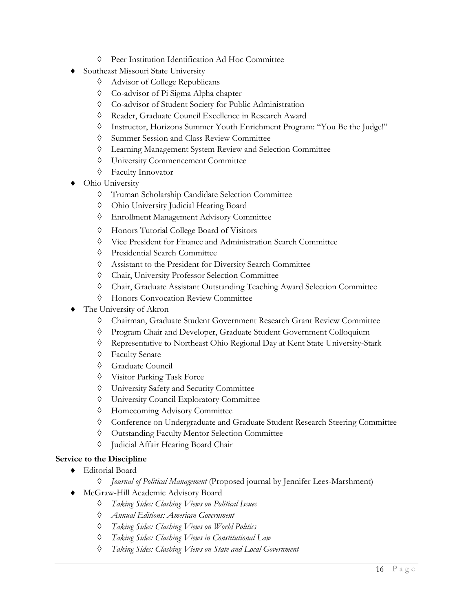- ◊ Peer Institution Identification Ad Hoc Committee
- **Southeast Missouri State University** 
	- ◊ Advisor of College Republicans
	- ◊ Co-advisor of Pi Sigma Alpha chapter
	- ◊ Co-advisor of Student Society for Public Administration
	- ◊ Reader, Graduate Council Excellence in Research Award
	- ◊ Instructor, Horizons Summer Youth Enrichment Program: "You Be the Judge!"
	- ◊ Summer Session and Class Review Committee
	- ◊ Learning Management System Review and Selection Committee
	- ◊ University Commencement Committee
	- ◊ Faculty Innovator
- Ohio University
	- ◊ Truman Scholarship Candidate Selection Committee
	- ◊ Ohio University Judicial Hearing Board
	- ◊ Enrollment Management Advisory Committee
	- ◊ Honors Tutorial College Board of Visitors
	- ◊ Vice President for Finance and Administration Search Committee
	- ◊ Presidential Search Committee
	- ◊ Assistant to the President for Diversity Search Committee
	- ◊ Chair, University Professor Selection Committee
	- ◊ Chair, Graduate Assistant Outstanding Teaching Award Selection Committee
	- ◊ Honors Convocation Review Committee
- The University of Akron
	- ◊ Chairman, Graduate Student Government Research Grant Review Committee
	- ◊ Program Chair and Developer, Graduate Student Government Colloquium
	- ◊ Representative to Northeast Ohio Regional Day at Kent State University-Stark
	- ◊ Faculty Senate
	- ◊ Graduate Council
	- ◊ Visitor Parking Task Force
	- ◊ University Safety and Security Committee
	- ◊ University Council Exploratory Committee
	- ◊ Homecoming Advisory Committee
	- ◊ Conference on Undergraduate and Graduate Student Research Steering Committee
	- ◊ Outstanding Faculty Mentor Selection Committee
	- ◊ Judicial Affair Hearing Board Chair

## **Service to the Discipline**

- ♦ Editorial Board
	- ◊ *Journal of Political Management* (Proposed journal by Jennifer Lees-Marshment)
	- McGraw-Hill Academic Advisory Board
		- ◊ *Taking Sides: Clashing Views on Political Issues*
		- ◊ *Annual Editions: American Government*
		- ◊ *Taking Sides: Clashing Views on World Politics*
		- ◊ *Taking Sides: Clashing Views in Constitutional Law*
		- ◊ *Taking Sides: Clashing Views on State and Local Government*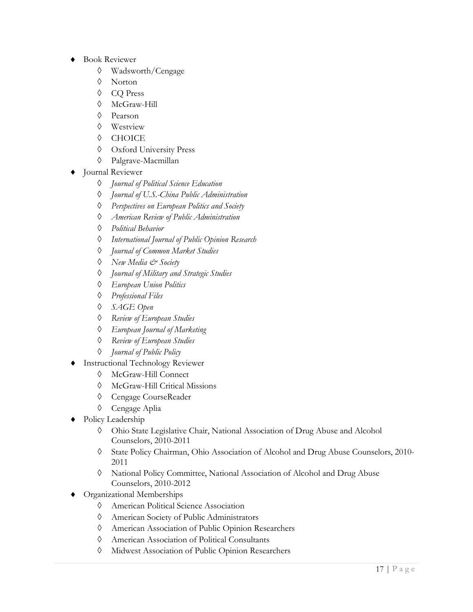- ♦ Book Reviewer
	- ◊ Wadsworth/Cengage
	- ◊ Norton
	- ◊ CQ Press
	- ◊ McGraw-Hill
	- ◊ Pearson
	- ◊ Westview
	- ◊ CHOICE
	- ◊ Oxford University Press
	- ◊ Palgrave-Macmillan
- Journal Reviewer
	- ◊ *Journal of Political Science Education*
	- ◊ *Journal of U.S.-China Public Administration*
	- ◊ *Perspectives on European Politics and Society*
	- ◊ *American Review of Public Administration*
	- ◊ *Political Behavior*
	- ◊ *International Journal of Public Opinion Research*
	- ◊ *Journal of Common Market Studies*
	- ◊ *New Media & Society*
	- ◊ *Journal of Military and Strategic Studies*
	- ◊ *European Union Politics*
	- ◊ *Professional Files*
	- ◊ *SAGE Open*
	- ◊ *Review of European Studies*
	- ◊ *European Journal of Marketing*
	- ◊ *Review of European Studies*
	- ◊ *Journal of Public Policy*
- **Instructional Technology Reviewer** 
	- ◊ McGraw-Hill Connect
	- ◊ McGraw-Hill Critical Missions
	- ◊ Cengage CourseReader
	- ◊ Cengage Aplia
- Policy Leadership
	- ◊ Ohio State Legislative Chair, National Association of Drug Abuse and Alcohol Counselors, 2010-2011
	- ◊ State Policy Chairman, Ohio Association of Alcohol and Drug Abuse Counselors, 2010- 2011
	- ◊ National Policy Committee, National Association of Alcohol and Drug Abuse Counselors, 2010-2012
- Organizational Memberships
	- ◊ American Political Science Association
	- ◊ American Society of Public Administrators
	- ◊ American Association of Public Opinion Researchers
	- ◊ American Association of Political Consultants
	- ◊ Midwest Association of Public Opinion Researchers